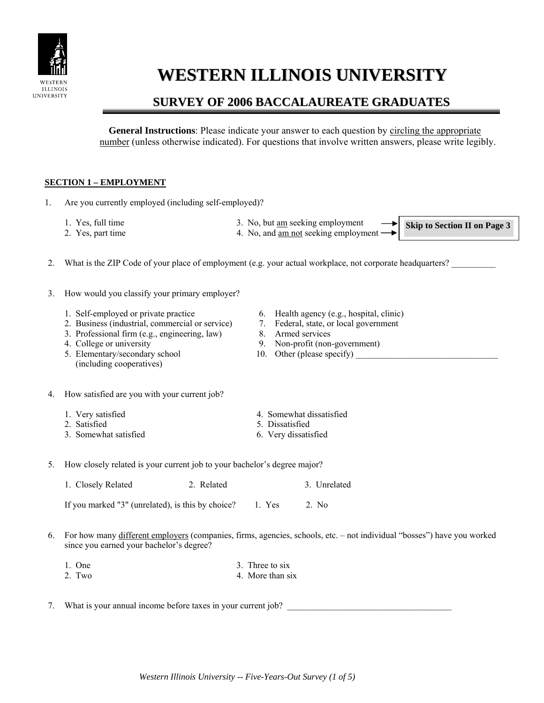

# **WESTERN ILLINOIS UNIVERSITY**

# **SURVEY OF 2006 BACCALAUREATE GRADUATES**

**General Instructions**: Please indicate your answer to each question by circling the appropriate number (unless otherwise indicated). For questions that involve written answers, please write legibly.

### **SECTION 1 – EMPLOYMENT**

- 1. Are you currently employed (including self-employed)?
	-
	- 2. Yes, part time 4. No, and <u>am not</u> seeking employment
	- 1. Yes, full time 3. No, but <u>am</u> seeking employment

**Skip to Section II on Page 3** 

◆∣

- 2. What is the ZIP Code of your place of employment (e.g. your actual workplace, not corporate headquarters?
- 3. How would you classify your primary employer?
	-
	- 2. Business (industrial, commercial or service) 7. Federal, state, or local government
	- 3. Professional firm (e.g., engineering, law) 8. Armed services
	-
	- 5. Elementary/secondary school 10. Other (please specify) (including cooperatives)
	- 1. Self-employed or private practice 6. Health agency (e.g., hospital, clinic)
		-
		-
	- 4. College or university 9. Non-profit (non-government)
		-
- 4. How satisfied are you with your current job?
	-
	- 2. Satisfied 5. Dissatisfied
	- 3. Somewhat satisfied 6. Very dissatisfied
	- 1. Very satisfied 4. Somewhat dissatisfied
		-
- 5. How closely related is your current job to your bachelor's degree major?

| 1. Closely Related | 2. Related | 3. Unrelated |
|--------------------|------------|--------------|
|--------------------|------------|--------------|

If you marked "3" (unrelated), is this by choice? 1. Yes 2. No

- 6. For how many different employers (companies, firms, agencies, schools, etc. not individual "bosses") have you worked since you earned your bachelor's degree?
	- 1. One 3. Three to six
	- 2. Two 4. More than six
- 7. What is your annual income before taxes in your current job?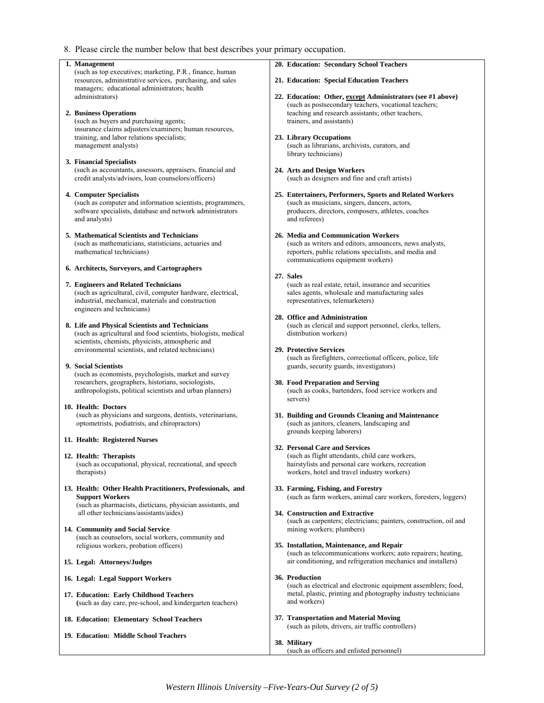8. Please circle the number below that best describes your primary occupation.

| 1. Management                                                                                                                                                                            | 20. Education: Secondary School Teachers                                                                                                                                                       |
|------------------------------------------------------------------------------------------------------------------------------------------------------------------------------------------|------------------------------------------------------------------------------------------------------------------------------------------------------------------------------------------------|
| (such as top executives; marketing, P.R., finance, human<br>resources, administrative services, purchasing, and sales                                                                    | 21. Education: Special Education Teachers                                                                                                                                                      |
| managers; educational administrators; health<br>administrators)<br>2. Business Operations                                                                                                | 22. Education: Other, except Administrators (see #1 above)<br>(such as postsecondary teachers, vocational teachers;<br>teaching and research assistants; other teachers,                       |
| (such as buyers and purchasing agents;                                                                                                                                                   | trainers, and assistants)                                                                                                                                                                      |
| insurance claims adjusters/examiners; human resources,                                                                                                                                   |                                                                                                                                                                                                |
| training, and labor relations specialists;<br>management analysts)                                                                                                                       | 23. Library Occupations<br>(such as librarians, archivists, curators, and<br>library technicians)                                                                                              |
| 3. Financial Specialists<br>(such as accountants, assessors, appraisers, financial and<br>credit analysts/advisors, loan counselors/officers)                                            | 24. Arts and Design Workers<br>(such as designers and fine and craft artists)                                                                                                                  |
| 4. Computer Specialists<br>(such as computer and information scientists, programmers,<br>software specialists, database and network administrators<br>and analysts)                      | 25. Entertainers, Performers, Sports and Related Workers<br>(such as musicians, singers, dancers, actors,<br>producers, directors, composers, athletes, coaches<br>and referees)               |
| 5. Mathematical Scientists and Technicians<br>(such as mathematicians, statisticians, actuaries and<br>mathematical technicians)                                                         | 26. Media and Communication Workers<br>(such as writers and editors, announcers, news analysts,<br>reporters, public relations specialists, and media and<br>communications equipment workers) |
| 6. Architects, Surveyors, and Cartographers                                                                                                                                              | 27. Sales                                                                                                                                                                                      |
| 7. Engineers and Related Technicians<br>(such as agricultural, civil, computer hardware, electrical,<br>industrial, mechanical, materials and construction<br>engineers and technicians) | (such as real estate, retail, insurance and securities<br>sales agents, wholesale and manufacturing sales<br>representatives, telemarketers)                                                   |
|                                                                                                                                                                                          | 28. Office and Administration                                                                                                                                                                  |
| 8. Life and Physical Scientists and Technicians<br>(such as agricultural and food scientists, biologists, medical<br>scientists, chemists, physicists, atmospheric and                   | (such as clerical and support personnel, clerks, tellers,<br>distribution workers)                                                                                                             |
| environmental scientists, and related technicians)                                                                                                                                       | 29. Protective Services<br>(such as firefighters, correctional officers, police, life                                                                                                          |
| 9. Social Scientists                                                                                                                                                                     | guards, security guards, investigators)                                                                                                                                                        |
| (such as economists, psychologists, market and survey<br>researchers, geographers, historians, sociologists,<br>anthropologists, political scientists and urban planners)                | 30. Food Preparation and Serving<br>(such as cooks, bartenders, food service workers and<br>servers)                                                                                           |
| 10. Health: Doctors<br>(such as physicians and surgeons, dentists, veterinarians,<br>optometrists, podiatrists, and chiropractors)                                                       | 31. Building and Grounds Cleaning and Maintenance<br>(such as janitors, cleaners, landscaping and<br>grounds keeping laborers)                                                                 |
| 11. Health: Registered Nurses                                                                                                                                                            |                                                                                                                                                                                                |
| 12. Health: Therapists<br>(such as occupational, physical, recreational, and speech<br>therapists)                                                                                       | 32. Personal Care and Services<br>(such as flight attendants, child care workers.<br>hairstylists and personal care workers, recreation<br>workers, hotel and travel industry workers)         |
| 13. Health: Other Health Practitioners, Professionals, and<br><b>Support Workers</b><br>(such as pharmacists, dieticians, physician assistants, and                                      | 33. Farming, Fishing, and Forestry<br>(such as farm workers, animal care workers, foresters, loggers)                                                                                          |
| all other technicians/assistants/aides)                                                                                                                                                  | 34. Construction and Extractive                                                                                                                                                                |
| 14. Community and Social Service<br>(such as counselors, social workers, community and                                                                                                   | (such as carpenters; electricians; painters, construction, oil and<br>mining workers; plumbers)                                                                                                |
| religious workers, probation officers)                                                                                                                                                   | 35. Installation, Maintenance, and Repair<br>(such as telecommunications workers; auto repairers; heating,                                                                                     |
| 15. Legal: Attorneys/Judges                                                                                                                                                              | air conditioning, and refrigeration mechanics and installers)                                                                                                                                  |
| 16. Legal: Legal Support Workers                                                                                                                                                         | 36. Production<br>(such as electrical and electronic equipment assemblers; food,                                                                                                               |
| 17. Education: Early Childhood Teachers<br>(such as day care, pre-school, and kindergarten teachers)                                                                                     | metal, plastic, printing and photography industry technicians<br>and workers)                                                                                                                  |
| 18. Education: Elementary School Teachers                                                                                                                                                | 37. Transportation and Material Moving<br>(such as pilots, drivers, air traffic controllers)                                                                                                   |
| 19. Education: Middle School Teachers                                                                                                                                                    |                                                                                                                                                                                                |
|                                                                                                                                                                                          | 38. Military<br>(such as officers and enlisted personnel)                                                                                                                                      |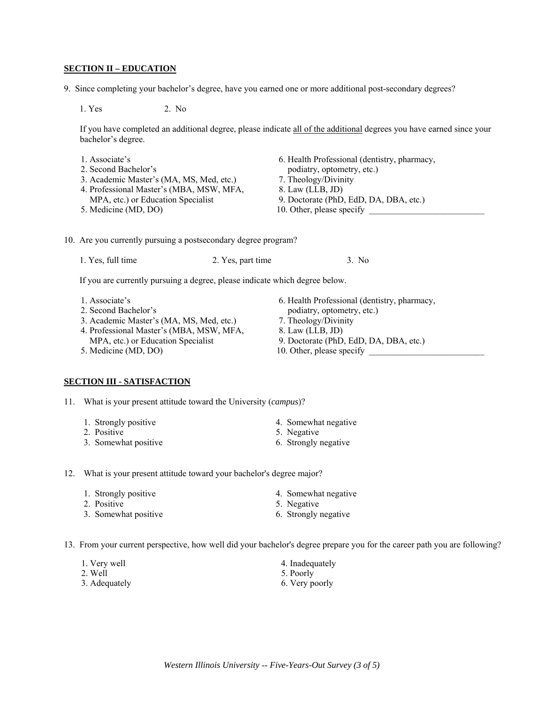#### **SECTION II – EDUCATION**

9. Since completing your bachelor's degree, have you earned one or more additional post-secondary degrees?

1. Yes 2. No

If you have completed an additional degree, please indicate all of the additional degrees you have earned since your bachelor's degree.

- 
- 2. Second Bachelor's podiatry, optometry, etc.)
- 3. Academic Master's (MA, MS, Med, etc.) 7. Theology/Divinity
- 4. Professional Master's (MBA, MSW, MFA, 8. Law (LLB, JD)
- MPA, etc.) or Education Specialist 9. Doctorate (PhD, EdD, DA, DBA, etc.) 5. Medicine (MD, DO) 10. Other, please specify
- 1. Associate's 6. Health Professional (dentistry, pharmacy,
	-
	-
	-
	-

10. Are you currently pursuing a postsecondary degree program?

1. Yes, full time 2. Yes, part time 3. No

If you are currently pursuing a degree, please indicate which degree below.

- 
- 
- 3. Academic Master's (MA, MS, Med, etc.) 7. Theology/Divinity
- 4. Professional Master's (MBA, MSW, MFA, 8. Law (LLB, JD)
- 
- 

#### **SECTION III - SATISFACTION**

11. What is your present attitude toward the University (*campus*)?

- 1. Strongly positive 4. Somewhat negative
- 2. Positive 5. Negative 5. Negative
- 3. Somewhat positive 6. Strongly negative
- 1. Associate's 6. Health Professional (dentistry, pharmacy, 2. Second Bachelor's podiatry, optometry, etc.) podiatry, optometry, etc.)
	-
	-
	- MPA, etc.) or Education Specialist 9. Doctorate (PhD, EdD, DA, DBA, etc.)
- 5. Medicine (MD, DO) 10. Other, please specify

- 12. What is your present attitude toward your bachelor's degree major?
	- 1. Strongly positive 4. Somewhat negative
	- 2. Positive 5. Negative 5. Negative
	-
- 
- 
- 3. Somewhat positive 6. Strongly negative

13. From your current perspective, how well did your bachelor's degree prepare you for the career path you are following?

1. Very well 4. Inadequately 2. Well 5. Poorly 3. Adequately 6. Very poorly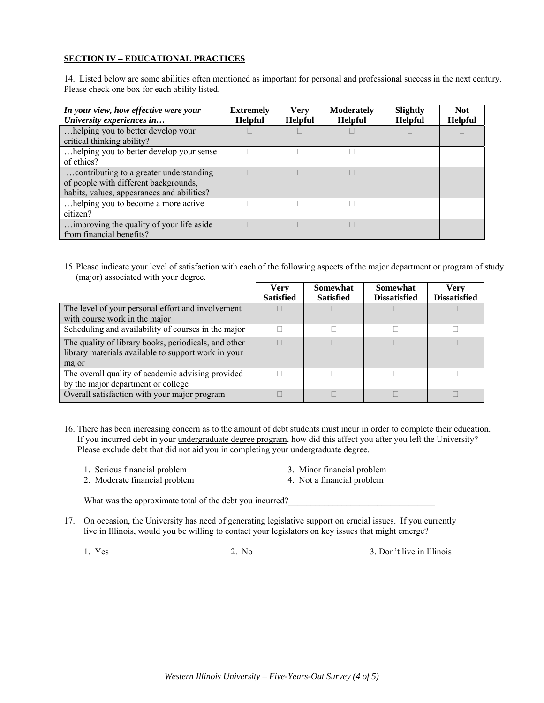#### **SECTION IV – EDUCATIONAL PRACTICES**

14. Listed below are some abilities often mentioned as important for personal and professional success in the next century. Please check one box for each ability listed.

| In your view, how effective were your<br>University experiences in                                                             | <b>Extremely</b><br><b>Helpful</b> | <b>Verv</b><br><b>Helpful</b> | <b>Moderately</b><br><b>Helpful</b> | Slightly<br><b>Helpful</b> | Not.<br><b>Helpful</b> |
|--------------------------------------------------------------------------------------------------------------------------------|------------------------------------|-------------------------------|-------------------------------------|----------------------------|------------------------|
| helping you to better develop your<br>critical thinking ability?                                                               |                                    |                               |                                     |                            |                        |
| helping you to better develop your sense<br>of ethics?                                                                         |                                    |                               |                                     |                            |                        |
| contributing to a greater understanding<br>of people with different backgrounds,<br>habits, values, appearances and abilities? |                                    |                               |                                     |                            |                        |
| helping you to become a more active<br>citizen?                                                                                |                                    |                               |                                     |                            |                        |
| improving the quality of your life aside<br>from financial benefits?                                                           |                                    |                               |                                     |                            |                        |

15. Please indicate your level of satisfaction with each of the following aspects of the major department or program of study (major) associated with your degree.

|                                                                                                                      | Very<br><b>Satisfied</b> | Somewhat<br><b>Satisfied</b> | <b>Somewhat</b><br><b>Dissatisfied</b> | Verv<br><b>Dissatisfied</b> |
|----------------------------------------------------------------------------------------------------------------------|--------------------------|------------------------------|----------------------------------------|-----------------------------|
| The level of your personal effort and involvement<br>with course work in the major                                   |                          |                              |                                        |                             |
| Scheduling and availability of courses in the major                                                                  |                          |                              |                                        |                             |
| The quality of library books, periodicals, and other<br>library materials available to support work in your<br>major |                          |                              |                                        |                             |
| The overall quality of academic advising provided<br>by the major department or college                              |                          |                              |                                        |                             |
| Overall satisfaction with your major program                                                                         |                          |                              |                                        |                             |

16. There has been increasing concern as to the amount of debt students must incur in order to complete their education. If you incurred debt in your undergraduate degree program, how did this affect you after you left the University? Please exclude debt that did not aid you in completing your undergraduate degree.

- 1. Serious financial problem 3. Minor financial problem
- 2. Moderate financial problem 4. Not a financial problem
- 

What was the approximate total of the debt you incurred?

17. On occasion, the University has need of generating legislative support on crucial issues. If you currently live in Illinois, would you be willing to contact your legislators on key issues that might emerge?

1. Yes 2. No 3. Don't live in Illinois